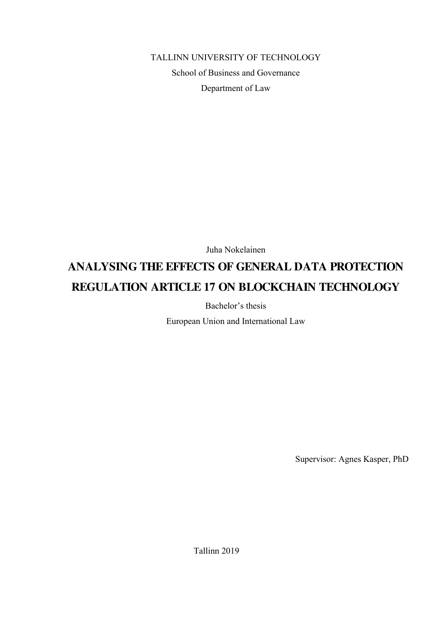TALLINN UNIVERSITY OF TECHNOLOGY School of Business and Governance Department of Law

Juha Nokelainen

# **ANALYSING THE EFFECTS OF GENERAL DATA PROTECTION REGULATION ARTICLE 17 ON BLOCKCHAIN TECHNOLOGY**

Bachelor's thesis

European Union and International Law

Supervisor: Agnes Kasper, PhD

Tallinn 2019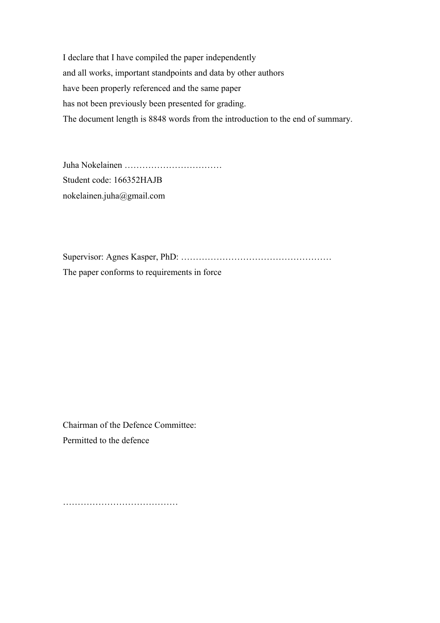I declare that I have compiled the paper independently and all works, important standpoints and data by other authors have been properly referenced and the same paper has not been previously been presented for grading. The document length is 8848 words from the introduction to the end of summary.

Juha Nokelainen …………………………… Student code: 166352HAJB nokelainen.juha@gmail.com

Supervisor: Agnes Kasper, PhD: …………………………………………… The paper conforms to requirements in force

Chairman of the Defence Committee: Permitted to the defence

…………………………………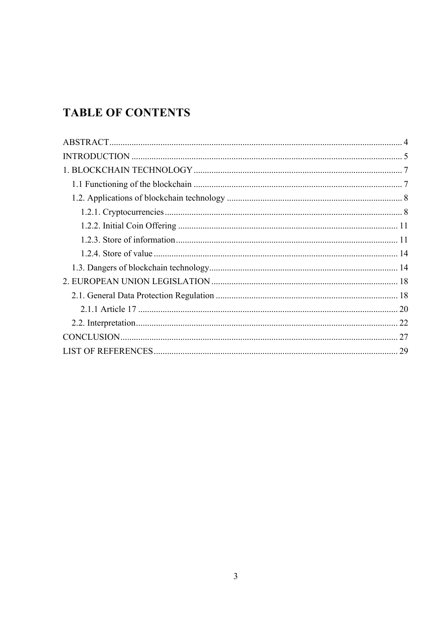# **TABLE OF CONTENTS**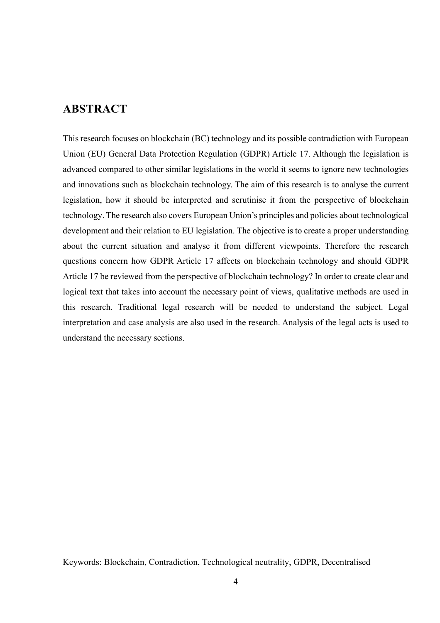### **ABSTRACT**

This research focuses on blockchain (BC) technology and its possible contradiction with European Union (EU) General Data Protection Regulation (GDPR) Article 17. Although the legislation is advanced compared to other similar legislations in the world it seems to ignore new technologies and innovations such as blockchain technology. The aim of this research is to analyse the current legislation, how it should be interpreted and scrutinise it from the perspective of blockchain technology. The research also covers European Union's principles and policies about technological development and their relation to EU legislation. The objective is to create a proper understanding about the current situation and analyse it from different viewpoints. Therefore the research questions concern how GDPR Article 17 affects on blockchain technology and should GDPR Article 17 be reviewed from the perspective of blockchain technology? In order to create clear and logical text that takes into account the necessary point of views, qualitative methods are used in this research. Traditional legal research will be needed to understand the subject. Legal interpretation and case analysis are also used in the research. Analysis of the legal acts is used to understand the necessary sections.

Keywords: Blockchain, Contradiction, Technological neutrality, GDPR, Decentralised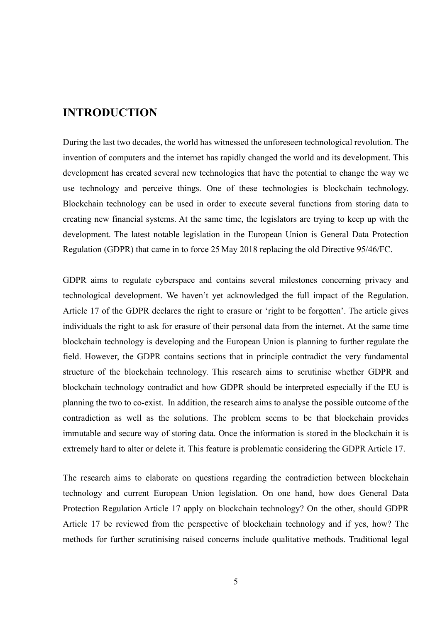### **INTRODUCTION**

During the last two decades, the world has witnessed the unforeseen technological revolution. The invention of computers and the internet has rapidly changed the world and its development. This development has created several new technologies that have the potential to change the way we use technology and perceive things. One of these technologies is blockchain technology. Blockchain technology can be used in order to execute several functions from storing data to creating new financial systems. At the same time, the legislators are trying to keep up with the development. The latest notable legislation in the European Union is General Data Protection Regulation (GDPR) that came in to force 25 May 2018 replacing the old Directive 95/46/FC.

GDPR aims to regulate cyberspace and contains several milestones concerning privacy and technological development. We haven't yet acknowledged the full impact of the Regulation. Article 17 of the GDPR declares the right to erasure or 'right to be forgotten'. The article gives individuals the right to ask for erasure of their personal data from the internet. At the same time blockchain technology is developing and the European Union is planning to further regulate the field. However, the GDPR contains sections that in principle contradict the very fundamental structure of the blockchain technology. This research aims to scrutinise whether GDPR and blockchain technology contradict and how GDPR should be interpreted especially if the EU is planning the two to co-exist. In addition, the research aims to analyse the possible outcome of the contradiction as well as the solutions. The problem seems to be that blockchain provides immutable and secure way of storing data. Once the information is stored in the blockchain it is extremely hard to alter or delete it. This feature is problematic considering the GDPR Article 17.

The research aims to elaborate on questions regarding the contradiction between blockchain technology and current European Union legislation. On one hand, how does General Data Protection Regulation Article 17 apply on blockchain technology? On the other, should GDPR Article 17 be reviewed from the perspective of blockchain technology and if yes, how? The methods for further scrutinising raised concerns include qualitative methods. Traditional legal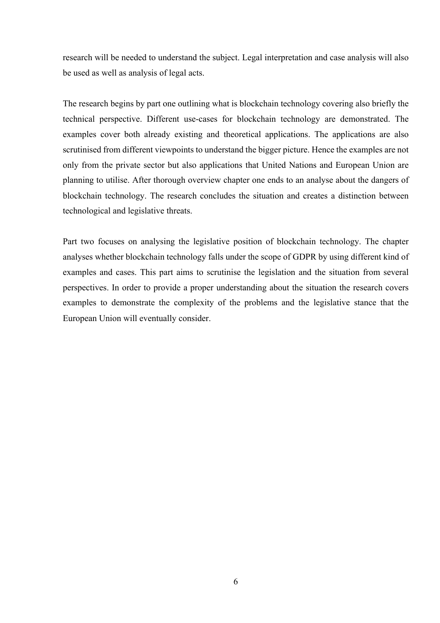research will be needed to understand the subject. Legal interpretation and case analysis will also be used as well as analysis of legal acts.

The research begins by part one outlining what is blockchain technology covering also briefly the technical perspective. Different use-cases for blockchain technology are demonstrated. The examples cover both already existing and theoretical applications. The applications are also scrutinised from different viewpoints to understand the bigger picture. Hence the examples are not only from the private sector but also applications that United Nations and European Union are planning to utilise. After thorough overview chapter one ends to an analyse about the dangers of blockchain technology. The research concludes the situation and creates a distinction between technological and legislative threats.

Part two focuses on analysing the legislative position of blockchain technology. The chapter analyses whether blockchain technology falls under the scope of GDPR by using different kind of examples and cases. This part aims to scrutinise the legislation and the situation from several perspectives. In order to provide a proper understanding about the situation the research covers examples to demonstrate the complexity of the problems and the legislative stance that the European Union will eventually consider.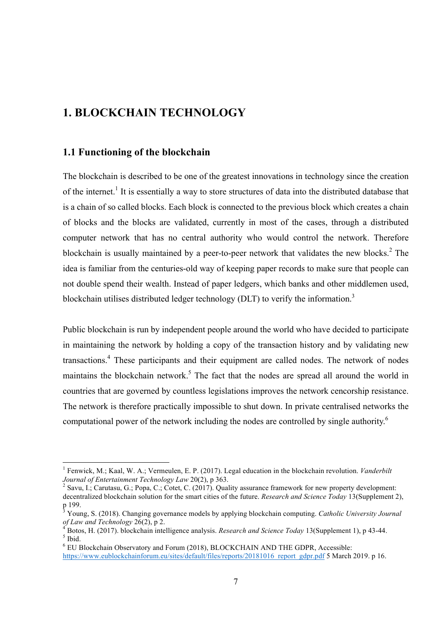## **1. BLOCKCHAIN TECHNOLOGY**

### **1.1 Functioning of the blockchain**

The blockchain is described to be one of the greatest innovations in technology since the creation of the internet.<sup>1</sup> It is essentially a way to store structures of data into the distributed database that is a chain of so called blocks. Each block is connected to the previous block which creates a chain of blocks and the blocks are validated, currently in most of the cases, through a distributed computer network that has no central authority who would control the network. Therefore blockchain is usually maintained by a peer-to-peer network that validates the new blocks.<sup>2</sup> The idea is familiar from the centuries-old way of keeping paper records to make sure that people can not double spend their wealth. Instead of paper ledgers, which banks and other middlemen used, blockchain utilises distributed ledger technology (DLT) to verify the information.<sup>3</sup>

Public blockchain is run by independent people around the world who have decided to participate in maintaining the network by holding a copy of the transaction history and by validating new transactions.4 These participants and their equipment are called nodes. The network of nodes maintains the blockchain network.<sup>5</sup> The fact that the nodes are spread all around the world in countries that are governed by countless legislations improves the network cencorship resistance. The network is therefore practically impossible to shut down. In private centralised networks the computational power of the network including the nodes are controlled by single authority.<sup>6</sup>

 <sup>1</sup> Fenwick, M.; Kaal, W. A.; Vermeulen, E. P. (2017). Legal education in the blockchain revolution. *Vanderbilt Journal of Entertainment Technology Law* 20(2), p 363.<br><sup>2</sup> Savu, I.; Carutasu, G.; Popa, C.; Cotet, C. (2017). Quality assurance framework for new property development:

decentralized blockchain solution for the smart cities of the future. *Research and Science Today* 13(Supplement 2), p 199.

<sup>3</sup> Young, S. (2018). Changing governance models by applying blockchain computing. *Catholic University Journal* 

<sup>&</sup>lt;sup>4</sup> Botos, H. (2017). blockchain intelligence analysis. *Research and Science Today* 13(Supplement 1), p 43-44. <sup>5</sup> Ibid.

<sup>6</sup> EU Blockchain Observatory and Forum (2018), BLOCKCHAIN AND THE GDPR, Accessible:

https://www.eublockchainforum.eu/sites/default/files/reports/20181016\_report\_gdpr.pdf 5 March 2019. p 16.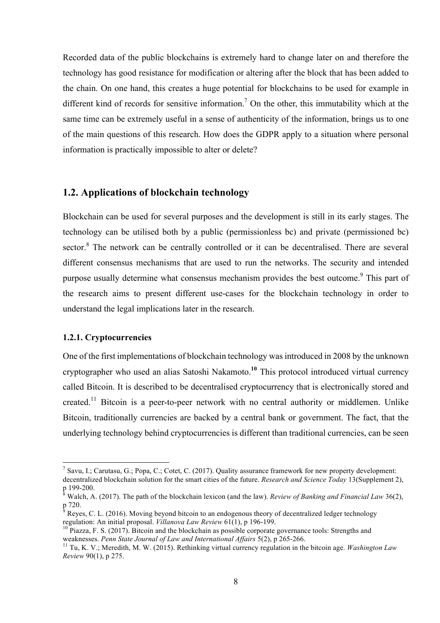Recorded data of the public blockchains is extremely hard to change later on and therefore the technology has good resistance for modification or altering after the block that has been added to the chain. On one hand, this creates a huge potential for blockchains to be used for example in different kind of records for sensitive information.<sup>7</sup> On the other, this immutability which at the same time can be extremely useful in a sense of authenticity of the information, brings us to one of the main questions of this research. How does the GDPR apply to a situation where personal information is practically impossible to alter or delete?

### **1.2. Applications of blockchain technology**

Blockchain can be used for several purposes and the development is still in its early stages. The technology can be utilised both by a public (permissionless bc) and private (permissioned bc) sector.<sup>8</sup> The network can be centrally controlled or it can be decentralised. There are several different consensus mechanisms that are used to run the networks. The security and intended purpose usually determine what consensus mechanism provides the best outcome.<sup>9</sup> This part of the research aims to present different use-cases for the blockchain technology in order to understand the legal implications later in the research.

#### **1.2.1. Cryptocurrencies**

One of the first implementations of blockchain technology was introduced in 2008 by the unknown cryptographer who used an alias Satoshi Nakamoto.**<sup>10</sup>** This protocol introduced virtual currency called Bitcoin. It is described to be decentralised cryptocurrency that is electronically stored and created.<sup>11</sup> Bitcoin is a peer-to-peer network with no central authority or middlemen. Unlike Bitcoin, traditionally currencies are backed by a central bank or government. The fact, that the underlying technology behind cryptocurrencies is different than traditional currencies, can be seen

<sup>&</sup>lt;sup>7</sup> Savu, I.; Carutasu, G.; Popa, C.; Cotet, C. (2017). Quality assurance framework for new property development: decentralized blockchain solution for the smart cities of the future. *Research and Science Today* 13(Supplement 2), p 199-200.

<sup>&</sup>lt;sup>§</sup> Walch, A. (2017). The path of the blockchain lexicon (and the law). *Review of Banking and Financial Law* 36(2), p 720.

<sup>&</sup>lt;sup>9</sup> Reyes, C. L. (2016). Moving beyond bitcoin to an endogenous theory of decentralized ledger technology regulation: An initial proposal. *Villanova Law Review* 61(1), p 196-199.

<sup>&</sup>lt;sup>10</sup> Piazza, F. S. (2017). Bitcoin and the blockchain as possible corporate governance tools: Strengths and weaknesses. *Penn State Journal of Law and International Affairs* 5(2), p 265-266.

<sup>&</sup>lt;sup>11</sup> Tu, K. V.; Meredith, M. W. (2015). Rethinking virtual currency regulation in the bitcoin age. *Washington Law Review* 90(1), p 275.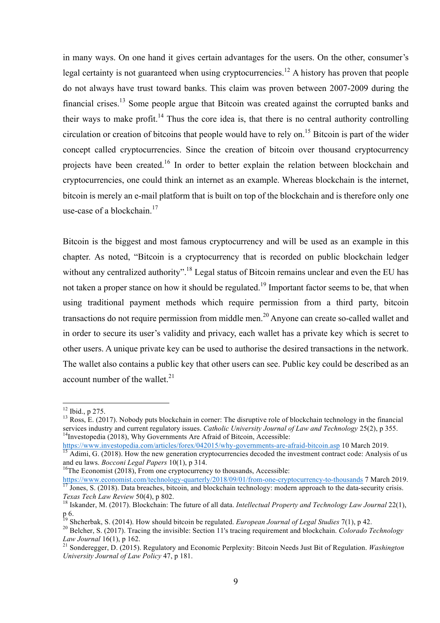in many ways. On one hand it gives certain advantages for the users. On the other, consumer's legal certainty is not guaranteed when using cryptocurrencies.<sup>12</sup> A history has proven that people do not always have trust toward banks. This claim was proven between 2007-2009 during the financial crises.<sup>13</sup> Some people argue that Bitcoin was created against the corrupted banks and their ways to make profit.<sup>14</sup> Thus the core idea is, that there is no central authority controlling circulation or creation of bitcoins that people would have to rely on.<sup>15</sup> Bitcoin is part of the wider concept called cryptocurrencies. Since the creation of bitcoin over thousand cryptocurrency projects have been created.<sup>16</sup> In order to better explain the relation between blockchain and cryptocurrencies, one could think an internet as an example. Whereas blockchain is the internet, bitcoin is merely an e-mail platform that is built on top of the blockchain and is therefore only one use-case of a blockchain.<sup>17</sup>

Bitcoin is the biggest and most famous cryptocurrency and will be used as an example in this chapter. As noted, "Bitcoin is a cryptocurrency that is recorded on public blockchain ledger without any centralized authority".<sup>18</sup> Legal status of Bitcoin remains unclear and even the EU has not taken a proper stance on how it should be regulated.<sup>19</sup> Important factor seems to be, that when using traditional payment methods which require permission from a third party, bitcoin transactions do not require permission from middle men.<sup>20</sup> Anyone can create so-called wallet and in order to secure its user's validity and privacy, each wallet has a private key which is secret to other users. A unique private key can be used to authorise the desired transactions in the network. The wallet also contains a public key that other users can see. Public key could be described as an account number of the wallet. $^{21}$ 

<sup>&</sup>lt;sup>12</sup> Ibid., p 275.<br><sup>13</sup> Ross, E. (2017). Nobody puts blockchain in corner: The disruptive role of blockchain technology in the financial services industry and current regulatory issues. *Catholic University Journal of Law and Technology* 25(2), p 355.<br><sup>14</sup>Investopedia (2018), Why Governments Are Afraid of Bitcoin, Accessible:<br>https://www.investopedia.com/ar

Adimi, G. (2018). How the new generation cryptocurrencies decoded the investment contract code: Analysis of us and eu laws. *Bocconi Legal Papers* 10(1), p 314.<br><sup>16</sup>The Economist (2018), From one cryptocurrency to thousands, Accessible:

https://www.economist.com/technology-quarterly/2018/09/01/from-one-cryptocurrency-to-thousands 7 March 2019.<br>
<sup>17</sup> Jones, S. (2018). Data breaches, bitcoin, and blockchain technology: modern approach to the data-security *Texas Tech Law Review* 50(4), p 802.<br><sup>18</sup> Iskander, M. (2017). Blockchain: The future of all data. *Intellectual Property and Technology Law Journal* 22(1),

p 6.<br><sup>19</sup> Shcherbak, S. (2014). How should bitcoin be regulated. *European Journal of Legal Studies* 7(1), p 42.<br><sup>20</sup> Belcher, S. (2017). Tracing the invisible: Section 11's tracing requirement and blockchain. *Colorado Te* 

<sup>&</sup>lt;sup>21</sup> Sonderegger, D. (2015). Regulatory and Economic Perplexity: Bitcoin Needs Just Bit of Regulation. *Washington University Journal of Law Policy* 47, p 181.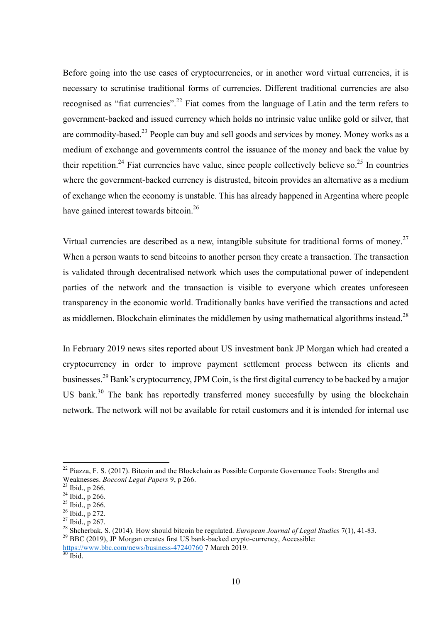Before going into the use cases of cryptocurrencies, or in another word virtual currencies, it is necessary to scrutinise traditional forms of currencies. Different traditional currencies are also recognised as "fiat currencies".<sup>22</sup> Fiat comes from the language of Latin and the term refers to government-backed and issued currency which holds no intrinsic value unlike gold or silver, that are commodity-based.<sup>23</sup> People can buy and sell goods and services by money. Money works as a medium of exchange and governments control the issuance of the money and back the value by their repetition.<sup>24</sup> Fiat currencies have value, since people collectively believe so.<sup>25</sup> In countries where the government-backed currency is distrusted, bitcoin provides an alternative as a medium of exchange when the economy is unstable. This has already happened in Argentina where people have gained interest towards bitcoin.<sup>26</sup>

Virtual currencies are described as a new, intangible subsitute for traditional forms of money.<sup>27</sup> When a person wants to send bitcoins to another person they create a transaction. The transaction is validated through decentralised network which uses the computational power of independent parties of the network and the transaction is visible to everyone which creates unforeseen transparency in the economic world. Traditionally banks have verified the transactions and acted as middlemen. Blockchain eliminates the middlemen by using mathematical algorithms instead.<sup>28</sup>

In February 2019 news sites reported about US investment bank JP Morgan which had created a cryptocurrency in order to improve payment settlement process between its clients and businesses.<sup>29</sup> Bank's cryptocurrency, JPM Coin, is the first digital currency to be backed by a major US bank.<sup>30</sup> The bank has reportedly transferred money succesfully by using the blockchain network. The network will not be available for retail customers and it is intended for internal use

 $^{22}$  Piazza, F. S. (2017). Bitcoin and the Blockchain as Possible Corporate Governance Tools: Strengths and

Weaknesses. *Bocconi Legal Papers* 9, p 266.<br><sup>23</sup> Ibid., p 266.<br><sup>25</sup> Ibid., p 266.<br><sup>25</sup> Ibid., p 272.<br><sup>26</sup> Ibid., p 272.<br><sup>27</sup> Ibid., p 267.<br><sup>28</sup> Shcherbak, S. (2014). How should bitcoin be regulated. *European Journal of L* 

https://www.bbc.com/news/business-47240760 7 March 2019.<br><sup>30</sup> Ibid.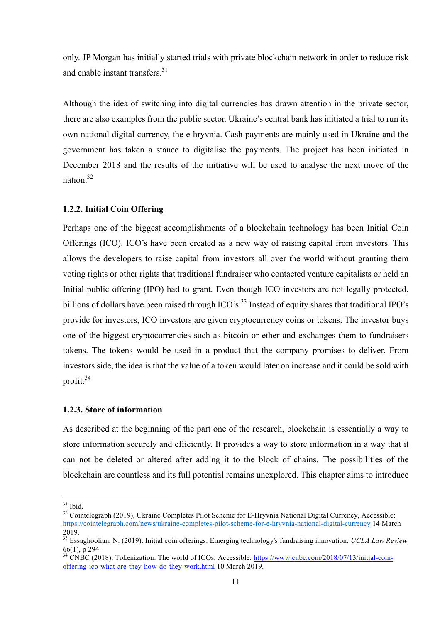only. JP Morgan has initially started trials with private blockchain network in order to reduce risk and enable instant transfers. $31$ 

Although the idea of switching into digital currencies has drawn attention in the private sector, there are also examples from the public sector. Ukraine's central bank has initiated a trial to run its own national digital currency, the e-hryvnia. Cash payments are mainly used in Ukraine and the government has taken a stance to digitalise the payments. The project has been initiated in December 2018 and the results of the initiative will be used to analyse the next move of the nation. 32

#### **1.2.2. Initial Coin Offering**

Perhaps one of the biggest accomplishments of a blockchain technology has been Initial Coin Offerings (ICO). ICO's have been created as a new way of raising capital from investors. This allows the developers to raise capital from investors all over the world without granting them voting rights or other rights that traditional fundraiser who contacted venture capitalists or held an Initial public offering (IPO) had to grant. Even though ICO investors are not legally protected, billions of dollars have been raised through ICO's.<sup>33</sup> Instead of equity shares that traditional IPO's provide for investors, ICO investors are given cryptocurrency coins or tokens. The investor buys one of the biggest cryptocurrencies such as bitcoin or ether and exchanges them to fundraisers tokens. The tokens would be used in a product that the company promises to deliver. From investors side, the idea is that the value of a token would later on increase and it could be sold with profit. $34$ 

#### **1.2.3. Store of information**

As described at the beginning of the part one of the research, blockchain is essentially a way to store information securely and efficiently. It provides a way to store information in a way that it can not be deleted or altered after adding it to the block of chains. The possibilities of the blockchain are countless and its full potential remains unexplored. This chapter aims to introduce

 $31$  Ibid.<br><sup>32</sup> Cointelegraph (2019), Ukraine Completes Pilot Scheme for E-Hryvnia National Digital Currency, Accessible: https://cointelegraph.com/news/ukraine-completes-pilot-scheme-for-e-hryvnia-national-digital-currency 14 March 2019.

<sup>33</sup> Essaghoolian, N. (2019). Initial coin offerings: Emerging technology's fundraising innovation. *UCLA Law Review* 66(1), p 294.<br><sup>34</sup> CNBC (2018), Tokenization: The world of ICOs, Accessible: https://www.cnbc.com/2018/07/13/initial-coin-

offering-ico-what-are-they-how-do-they-work.html 10 March 2019.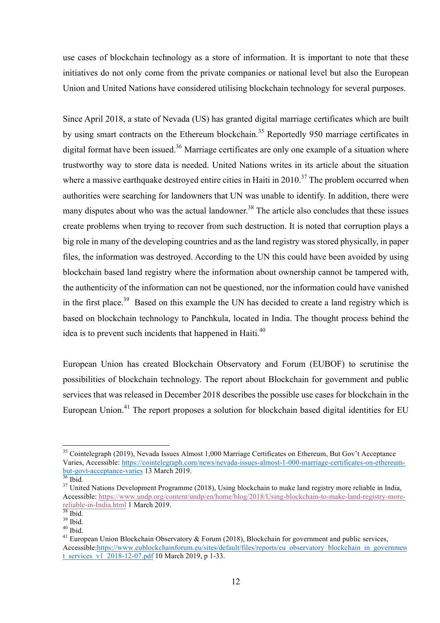use cases of blockchain technology as a store of information. It is important to note that these initiatives do not only come from the private companies or national level but also the European Union and United Nations have considered utilising blockchain technology for several purposes.

Since April 2018, a state of Nevada (US) has granted digital marriage certificates which are built by using smart contracts on the Ethereum blockchain.<sup>35</sup> Reportedly 950 marriage certificates in digital format have been issued.<sup>36</sup> Marriage certificates are only one example of a situation where trustworthy way to store data is needed. United Nations writes in its article about the situation where a massive earthquake destroyed entire cities in Haiti in 2010.<sup>37</sup> The problem occurred when authorities were searching for landowners that UN was unable to identify. In addition, there were many disputes about who was the actual landowner.<sup>38</sup> The article also concludes that these issues create problems when trying to recover from such destruction. It is noted that corruption plays a big role in many of the developing countries and as the land registry was stored physically, in paper files, the information was destroyed. According to the UN this could have been avoided by using blockchain based land registry where the information about ownership cannot be tampered with, the authenticity of the information can not be questioned, nor the information could have vanished in the first place.<sup>39</sup> Based on this example the UN has decided to create a land registry which is based on blockchain technology to Panchkula, located in India. The thought process behind the idea is to prevent such incidents that happened in Haiti. $40$ 

European Union has created Blockchain Observatory and Forum (EUBOF) to scrutinise the possibilities of blockchain technology. The report about Blockchain for government and public services that was released in December 2018 describes the possible use cases for blockchain in the European Union.<sup>41</sup> The report proposes a solution for blockchain based digital identities for EU

<sup>&</sup>lt;sup>35</sup> Cointelegraph (2019), Nevada Issues Almost 1,000 Marriage Certificates on Ethereum, But Gov't Acceptance Varies, Accessible: https://cointelegraph.com/news/nevada-issues-almost-1-000-marriage-certificates-on-ethereum-<br>but-govt-acceptance-varies 13 March 2019.

 $\frac{36}{36}$  Ibid.  $\frac{37}{37}$  United Nations Development Programme (2018), Using blockchain to make land registry more reliable in India, Accessible: https://www.undp.org/content/undp/en/home/blog/2018/Using-blockchain-to-make-land-registry-more-<br>reliable-in-India.html 1 March 2019.<br><sup>38</sup> Ibid.

<sup>&</sup>lt;sup>39</sup> Ibid.<br><sup>40</sup> Ibid. <sup>40</sup> Ibid. 39 Ibid. 39 Ibid. 39 Ibid. 41 European Union Blockchain <sup>41</sup> European Union Blockchain Observatory & Forum (2018), Blockchain for government and public services, Accessible:https://www.eublockchainforum.eu/sites/default/files/reports/eu\_observatory\_blockchain\_in\_governmen t\_services\_v1\_2018-12-07.pdf 10 March 2019, p 1-33.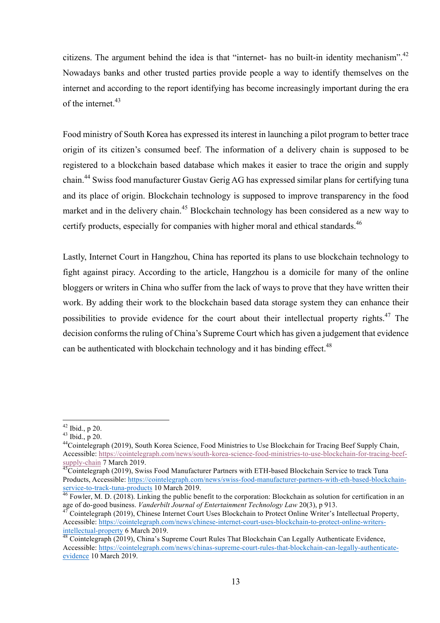citizens. The argument behind the idea is that "internet- has no built-in identity mechanism".<sup>42</sup> Nowadays banks and other trusted parties provide people a way to identify themselves on the internet and according to the report identifying has become increasingly important during the era of the internet  $43$ 

Food ministry of South Korea has expressed its interest in launching a pilot program to better trace origin of its citizen's consumed beef. The information of a delivery chain is supposed to be registered to a blockchain based database which makes it easier to trace the origin and supply chain.<sup>44</sup> Swiss food manufacturer Gustav Gerig AG has expressed similar plans for certifying tuna and its place of origin. Blockchain technology is supposed to improve transparency in the food market and in the delivery chain.<sup>45</sup> Blockchain technology has been considered as a new way to certify products, especially for companies with higher moral and ethical standards.<sup>46</sup>

Lastly, Internet Court in Hangzhou, China has reported its plans to use blockchain technology to fight against piracy. According to the article, Hangzhou is a domicile for many of the online bloggers or writers in China who suffer from the lack of ways to prove that they have written their work. By adding their work to the blockchain based data storage system they can enhance their possibilities to provide evidence for the court about their intellectual property rights.<sup>47</sup> The decision conforms the ruling of China's Supreme Court which has given a judgement that evidence can be authenticated with blockchain technology and it has binding effect.<sup>48</sup>

<sup>&</sup>lt;sup>42</sup> Ibid., p 20.<br><sup>43</sup> Ibid., p 20.<br><sup>44</sup>Cointelegraph (2019), South Korea Science, Food Ministries to Use Blockchain for Tracing Beef Supply Chain, Accessible: https://cointelegraph.com/news/south-korea-science-food-ministries-to-use-blockchain-for-tracing-beefsupply-chain 7 March 2019.<br><sup>45</sup>Cointelegraph (2019), Swiss Food Manufacturer Partners with ETH-based Blockchain Service to track Tuna

Products, Accessible: https://cointelegraph.com/news/swiss-food-manufacturer-partners-with-eth-based-blockchainservice-to-track-tuna-products 10 March 2019.<br><sup>46</sup> Fowler, M. D. (2018). Linking the public benefit to the corporation: Blockchain as solution for certification in an

age of do-good business. *Vanderbilt Journal of Entertainment Technology Law* 20(3), p 913.<br><sup>47</sup> Cointelegraph (2019), Chinese Internet Court Uses Blockchain to Protect Online Writer's Intellectual Property,

Accessible: https://cointelegraph.com/news/chinese-internet-court-uses-blockchain-to-protect-online-writersintellectual-property 6 March 2019.<br><sup>48</sup> Cointelegraph (2019), China's Supreme Court Rules That Blockchain Can Legally Authenticate Evidence,

Accessible: https://cointelegraph.com/news/chinas-supreme-court-rules-that-blockchain-can-legally-authenticateevidence 10 March 2019.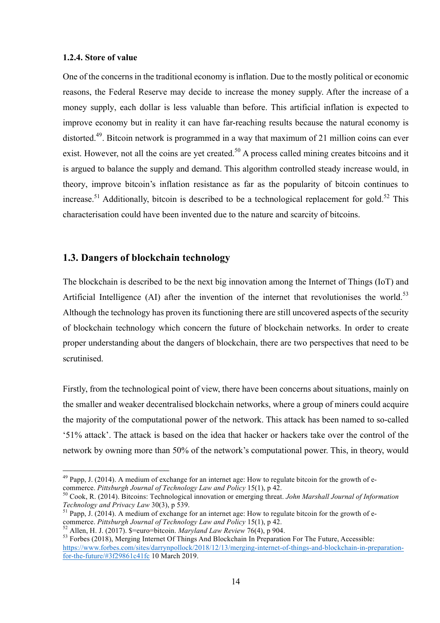#### **1.2.4. Store of value**

One of the concerns in the traditional economy is inflation. Due to the mostly political or economic reasons, the Federal Reserve may decide to increase the money supply. After the increase of a money supply, each dollar is less valuable than before. This artificial inflation is expected to improve economy but in reality it can have far-reaching results because the natural economy is distorted.<sup>49</sup>. Bitcoin network is programmed in a way that maximum of 21 million coins can ever exist. However, not all the coins are yet created.<sup>50</sup> A process called mining creates bitcoins and it is argued to balance the supply and demand. This algorithm controlled steady increase would, in theory, improve bitcoin's inflation resistance as far as the popularity of bitcoin continues to increase.<sup>51</sup> Additionally, bitcoin is described to be a technological replacement for gold.<sup>52</sup> This characterisation could have been invented due to the nature and scarcity of bitcoins.

### **1.3. Dangers of blockchain technology**

The blockchain is described to be the next big innovation among the Internet of Things (IoT) and Artificial Intelligence (AI) after the invention of the internet that revolutionises the world.<sup>53</sup> Although the technology has proven its functioning there are still uncovered aspects of the security of blockchain technology which concern the future of blockchain networks. In order to create proper understanding about the dangers of blockchain, there are two perspectives that need to be scrutinised.

Firstly, from the technological point of view, there have been concerns about situations, mainly on the smaller and weaker decentralised blockchain networks, where a group of miners could acquire the majority of the computational power of the network. This attack has been named to so-called '51% attack'. The attack is based on the idea that hacker or hackers take over the control of the network by owning more than 50% of the network's computational power. This, in theory, would

 $49$  Papp, J. (2014). A medium of exchange for an internet age: How to regulate bitcoin for the growth of ecommerce. *Pittsburgh Journal of Technology Law and Policy* 15(1), p 42.<br><sup>50</sup> Cook, R. (2014). Bitcoins: Technological innovation or emerging threat. *John Marshall Journal of Information* 

*Technology and Privacy Law* 30(3), p 539.<br><sup>51</sup> Papp, J. (2014). A medium of exchange for an internet age: How to regulate bitcoin for the growth of e-<br>commerce. Pittsburgh Journal of Technology Law and Policy 15(1), p 42.

<sup>&</sup>lt;sup>52</sup> Allen, H. J. (2017). \$=euro=bitcoin. *Maryland Law Review* 76(4), p 904.<br><sup>53</sup> Forbes (2018), Merging Internet Of Things And Blockchain In Preparation For The Future, Accessible: https://www.forbes.com/sites/darrynpollock/2018/12/13/merging-internet-of-things-and-blockchain-in-preparationfor-the-future/#3f29861c41fc 10 March 2019.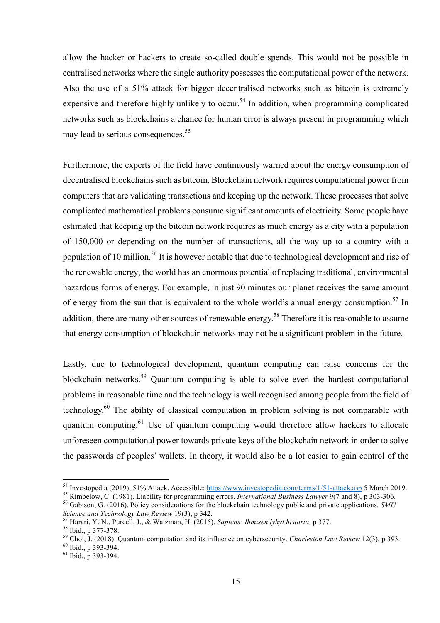allow the hacker or hackers to create so-called double spends. This would not be possible in centralised networks where the single authority possesses the computational power of the network. Also the use of a 51% attack for bigger decentralised networks such as bitcoin is extremely expensive and therefore highly unlikely to occur.<sup>54</sup> In addition, when programming complicated networks such as blockchains a chance for human error is always present in programming which may lead to serious consequences.<sup>55</sup>

Furthermore, the experts of the field have continuously warned about the energy consumption of decentralised blockchains such as bitcoin. Blockchain network requires computational power from computers that are validating transactions and keeping up the network. These processes that solve complicated mathematical problems consume significant amounts of electricity. Some people have estimated that keeping up the bitcoin network requires as much energy as a city with a population of 150,000 or depending on the number of transactions, all the way up to a country with a population of 10 million.<sup>56</sup> It is however notable that due to technological development and rise of the renewable energy, the world has an enormous potential of replacing traditional, environmental hazardous forms of energy. For example, in just 90 minutes our planet receives the same amount of energy from the sun that is equivalent to the whole world's annual energy consumption.<sup>57</sup> In addition, there are many other sources of renewable energy.<sup>58</sup> Therefore it is reasonable to assume that energy consumption of blockchain networks may not be a significant problem in the future.

Lastly, due to technological development, quantum computing can raise concerns for the blockchain networks.<sup>59</sup> Quantum computing is able to solve even the hardest computational problems in reasonable time and the technology is well recognised among people from the field of technology.<sup>60</sup> The ability of classical computation in problem solving is not comparable with quantum computing.<sup>61</sup> Use of quantum computing would therefore allow hackers to allocate unforeseen computational power towards private keys of the blockchain network in order to solve the passwords of peoples' wallets. In theory, it would also be a lot easier to gain control of the

<sup>&</sup>lt;sup>54</sup> Investopedia (2019), 51% Attack, Accessible: https://www.investopedia.com/terms/1/51-attack.asp 5 March 2019.<br><sup>55</sup> Rimbelow, C. (1981). Liability for programming errors. *International Business Lawyer* 9(7 and 8), p

Science and Technology Law Review 19(3), p 342.<br>
<sup>57</sup> Harari, Y. N., Purcell, J., & Watzman, H. (2015). Sapiens: Ihmisen lyhyt historia. p 377.<br>
<sup>58</sup> Ibid., p 377-378.<br>
<sup>59</sup> Choi, J. (2018). Quantum computation and its in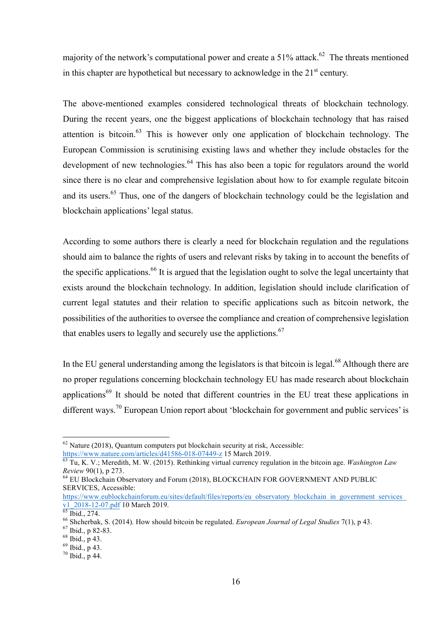majority of the network's computational power and create a  $51\%$  attack.<sup>62</sup> The threats mentioned in this chapter are hypothetical but necessary to acknowledge in the  $21<sup>st</sup>$  century.

The above-mentioned examples considered technological threats of blockchain technology. During the recent years, one the biggest applications of blockchain technology that has raised attention is bitcoin.<sup>63</sup> This is however only one application of blockchain technology. The European Commission is scrutinising existing laws and whether they include obstacles for the development of new technologies.<sup>64</sup> This has also been a topic for regulators around the world since there is no clear and comprehensive legislation about how to for example regulate bitcoin and its users.<sup>65</sup> Thus, one of the dangers of blockchain technology could be the legislation and blockchain applications' legal status.

According to some authors there is clearly a need for blockchain regulation and the regulations should aim to balance the rights of users and relevant risks by taking in to account the benefits of the specific applications.<sup>66</sup> It is argued that the legislation ought to solve the legal uncertainty that exists around the blockchain technology. In addition, legislation should include clarification of current legal statutes and their relation to specific applications such as bitcoin network, the possibilities of the authorities to oversee the compliance and creation of comprehensive legislation that enables users to legally and securely use the applictions.<sup>67</sup>

In the EU general understanding among the legislators is that bitcoin is legal. $^{68}$  Although there are no proper regulations concerning blockchain technology EU has made research about blockchain applications<sup>69</sup> It should be noted that different countries in the EU treat these applications in different ways.<sup>70</sup> European Union report about 'blockchain for government and public services' is

 $62$  Nature (2018), Quantum computers put blockchain security at risk, Accessible:

https://www.nature.com/articles/d41586-018-07449-z 15 March 2019. <sup>63</sup> Tu, K. V.; Meredith, M. W. (2015). Rethinking virtual currency regulation in the bitcoin age. *Washington Law Review* 90(1), p 273.<br><sup>64</sup> EU Blockchain Observatory and Forum (2018), BLOCKCHAIN FOR GOVERNMENT AND PUBLIC

SERVICES, Accessible:

https://www.eublockchainforum.eu/sites/default/files/reports/eu\_observatory\_blockchain\_in\_government\_services  $\frac{\text{v1 }2018-12-07.\text{pdf}}{\text{65}}$  1bid., 274.<br>  $\frac{\text{v6}}{\text{65}}$  1bid., 274.<br>  $\frac{\text{v6}}{\text{65}}$  Shcherbak, S. (2014). How should bitcoin be regulated. *European Journal of Legal Studies* 7(1), p 43.<br>  $\frac{\text{v7}}{\text{67}}$  1bid., p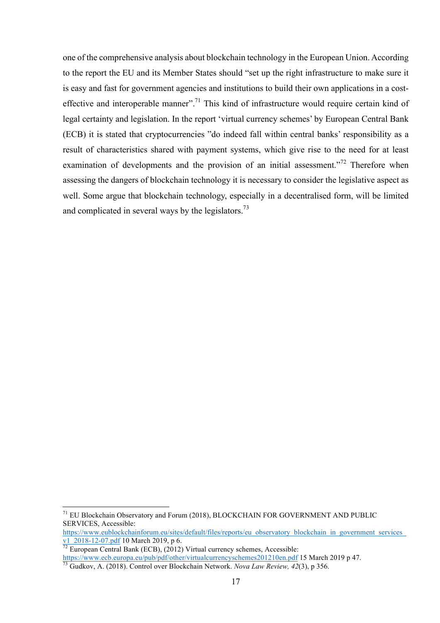one of the comprehensive analysis about blockchain technology in the European Union. According to the report the EU and its Member States should "set up the right infrastructure to make sure it is easy and fast for government agencies and institutions to build their own applications in a costeffective and interoperable manner".<sup>71</sup> This kind of infrastructure would require certain kind of legal certainty and legislation. In the report 'virtual currency schemes' by European Central Bank (ECB) it is stated that cryptocurrencies "do indeed fall within central banks' responsibility as a result of characteristics shared with payment systems, which give rise to the need for at least examination of developments and the provision of an initial assessment.<sup> $372$ </sup> Therefore when assessing the dangers of blockchain technology it is necessary to consider the legislative aspect as well. Some argue that blockchain technology, especially in a decentralised form, will be limited and complicated in several ways by the legislators.<sup>73</sup>

 $71$  EU Blockchain Observatory and Forum (2018), BLOCKCHAIN FOR GOVERNMENT AND PUBLIC SERVICES, Accessible:

https://www.eublockchainforum.eu/sites/default/files/reports/eu\_observatory\_blockchain\_in\_government\_services\_<br>v1\_2018-12-07.pdf 10 March 2019, p 6.

 $\frac{1}{72}$  European Central Bank (ECB), (2012) Virtual currency schemes, Accessible:<br>https://www.ecb.europa.eu/pub/pdf/other/virtual currency schemes 201210en.pdf 15 March 2019 p 47.

 $\frac{1}{73}$ Gudkov, A. (2018). Control over Blockchain Network. *Nova Law Review*, 42(3), p 356.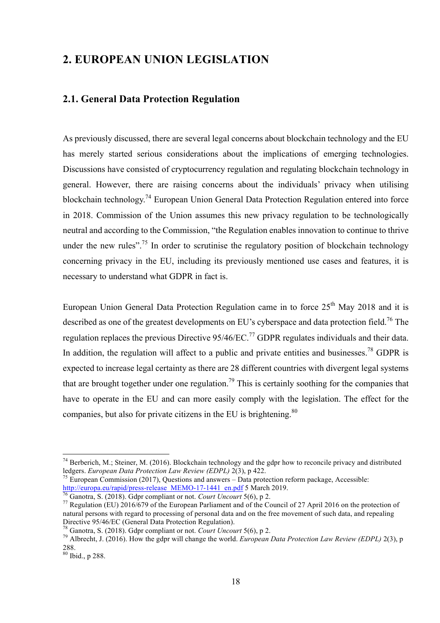### **2. EUROPEAN UNION LEGISLATION**

### **2.1. General Data Protection Regulation**

As previously discussed, there are several legal concerns about blockchain technology and the EU has merely started serious considerations about the implications of emerging technologies. Discussions have consisted of cryptocurrency regulation and regulating blockchain technology in general. However, there are raising concerns about the individuals' privacy when utilising blockchain technology.<sup>74</sup> European Union General Data Protection Regulation entered into force in 2018. Commission of the Union assumes this new privacy regulation to be technologically neutral and according to the Commission, "the Regulation enables innovation to continue to thrive under the new rules".<sup>75</sup> In order to scrutinise the regulatory position of blockchain technology concerning privacy in the EU, including its previously mentioned use cases and features, it is necessary to understand what GDPR in fact is.

European Union General Data Protection Regulation came in to force  $25<sup>th</sup>$  May 2018 and it is described as one of the greatest developments on EU's cyberspace and data protection field.<sup>76</sup> The regulation replaces the previous Directive  $95/46/EC$ <sup>77</sup> GDPR regulates individuals and their data. In addition, the regulation will affect to a public and private entities and businesses.<sup>78</sup> GDPR is expected to increase legal certainty as there are 28 different countries with divergent legal systems that are brought together under one regulation.<sup>79</sup> This is certainly soothing for the companies that have to operate in the EU and can more easily comply with the legislation. The effect for the companies, but also for private citizens in the EU is brightening. $80$ 

<sup>&</sup>lt;sup>74</sup> Berberich, M.; Steiner, M. (2016). Blockchain technology and the gdpr how to reconcile privacy and distributed ledgers. *European Data Protection Law Review (EDPL)* 2(3), p 422.

<sup>&</sup>lt;sup>75</sup> European Commission (2017), Questions and answers – Data protection reform package, Accessible: http://europa.eu/rapid/press-release MEMO-17-1441 en.pdf 5 March 2019.<br>
<sup>76</sup> Ganotra, S. (2018). Gdpr compliant or not. *Court Uncourt* 5(6), p 2.<br>
<sup>77</sup> Regulation (EU) 2016/679 of the European Parliament and of the Counc

natural persons with regard to processing of personal data and on the free movement of such data, and repealing<br>Directive 95/46/EC (General Data Protection Regulation).

<sup>&</sup>lt;sup>78</sup> Ganotra, S. (2018). Gdpr compliant or not. *Court Uncourt* 5(6), p 2.<br><sup>79</sup> Albrecht, J. (2016). How the gdpr will change the world. *European Data Protection Law Review (EDPL)* 2(3), p 288. <sup>80</sup> Ibid., p 288.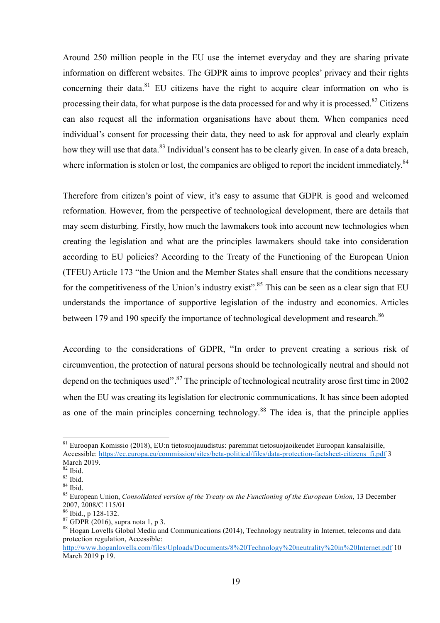Around 250 million people in the EU use the internet everyday and they are sharing private information on different websites. The GDPR aims to improve peoples' privacy and their rights concerning their data.<sup>81</sup> EU citizens have the right to acquire clear information on who is processing their data, for what purpose is the data processed for and why it is processed.<sup>82</sup> Citizens can also request all the information organisations have about them. When companies need individual's consent for processing their data, they need to ask for approval and clearly explain how they will use that data.<sup>83</sup> Individual's consent has to be clearly given. In case of a data breach, where information is stolen or lost, the companies are obliged to report the incident immediately. $84$ 

Therefore from citizen's point of view, it's easy to assume that GDPR is good and welcomed reformation. However, from the perspective of technological development, there are details that may seem disturbing. Firstly, how much the lawmakers took into account new technologies when creating the legislation and what are the principles lawmakers should take into consideration according to EU policies? According to the Treaty of the Functioning of the European Union (TFEU) Article 173 "the Union and the Member States shall ensure that the conditions necessary for the competitiveness of the Union's industry exist".<sup>85</sup> This can be seen as a clear sign that EU understands the importance of supportive legislation of the industry and economics. Articles between 179 and 190 specify the importance of technological development and research.<sup>86</sup>

According to the considerations of GDPR, "In order to prevent creating a serious risk of circumvention, the protection of natural persons should be technologically neutral and should not depend on the techniques used".<sup>87</sup> The principle of technological neutrality arose first time in 2002 when the EU was creating its legislation for electronic communications. It has since been adopted as one of the main principles concerning technology.<sup>88</sup> The idea is, that the principle applies

 <sup>81</sup> Euroopan Komissio (2018), EU:n tietosuojauudistus: paremmat tietosuojaoikeudet Euroopan kansalaisille, Accessible: https://ec.europa.eu/commission/sites/beta-political/files/data-protection-factsheet-citizens\_fi.pdf 3 March 2019.<br> $82$  Ibid.

<sup>&</sup>lt;sup>83</sup> Ibid.<br><sup>84</sup> Ibid.<br><sup>85</sup> European Union, *Consolidated version of the Treaty on the Functioning of the European Union*, 13 December 2007, 2008/C 115/01<br><sup>86</sup> Ibid., p 128-132.<br><sup>87</sup> GDPR (2016), supra nota 1, p 3.<br><sup>88</sup> Hogan Lovells Global Media and Communications (2014), Technology neutrality in Internet, telecoms and data

protection regulation, Accessible:

http://www.hoganlovells.com/files/Uploads/Documents/8%20Technology%20neutrality%20in%20Internet.pdf 10 March 2019 p 19.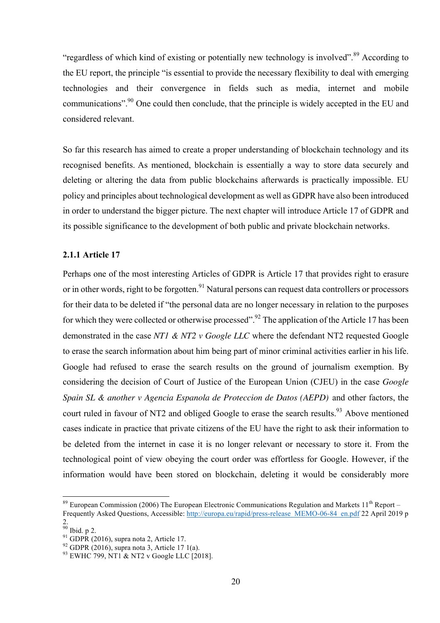"regardless of which kind of existing or potentially new technology is involved".<sup>89</sup> According to the EU report, the principle "is essential to provide the necessary flexibility to deal with emerging technologies and their convergence in fields such as media, internet and mobile communications".<sup>90</sup> One could then conclude, that the principle is widely accepted in the EU and considered relevant.

So far this research has aimed to create a proper understanding of blockchain technology and its recognised benefits. As mentioned, blockchain is essentially a way to store data securely and deleting or altering the data from public blockchains afterwards is practically impossible. EU policy and principles about technological development as well as GDPR have also been introduced in order to understand the bigger picture. The next chapter will introduce Article 17 of GDPR and its possible significance to the development of both public and private blockchain networks.

#### **2.1.1 Article 17**

Perhaps one of the most interesting Articles of GDPR is Article 17 that provides right to erasure or in other words, right to be forgotten.<sup>91</sup> Natural persons can request data controllers or processors for their data to be deleted if "the personal data are no longer necessary in relation to the purposes for which they were collected or otherwise processed". <sup>92</sup> The application of the Article 17 has been demonstrated in the case *NT1 & NT2 v Google LLC* where the defendant NT2 requested Google to erase the search information about him being part of minor criminal activities earlier in his life. Google had refused to erase the search results on the ground of journalism exemption. By considering the decision of Court of Justice of the European Union (CJEU) in the case *Google Spain SL & another v Agencia Espanola de Proteccion de Datos (AEPD)* and other factors, the court ruled in favour of NT2 and obliged Google to erase the search results.<sup>93</sup> Above mentioned cases indicate in practice that private citizens of the EU have the right to ask their information to be deleted from the internet in case it is no longer relevant or necessary to store it. From the technological point of view obeying the court order was effortless for Google. However, if the information would have been stored on blockchain, deleting it would be considerably more

 $89$  European Commission (2006) The European Electronic Communications Regulation and Markets  $11^{th}$  Report – Frequently Asked Questions, Accessible: http://europa.eu/rapid/press-release\_MEMO-06-84\_en.pdf 22 April 2019 p

 $90$  Ibid. p 2.

<sup>&</sup>lt;sup>91</sup> GDPR (2016), supra nota 2, Article 17.<br><sup>92</sup> GDPR (2016), supra nota 3, Article 17 1(a).<br><sup>93</sup> EWHC 799, NT1 & NT2 v Google LLC [2018].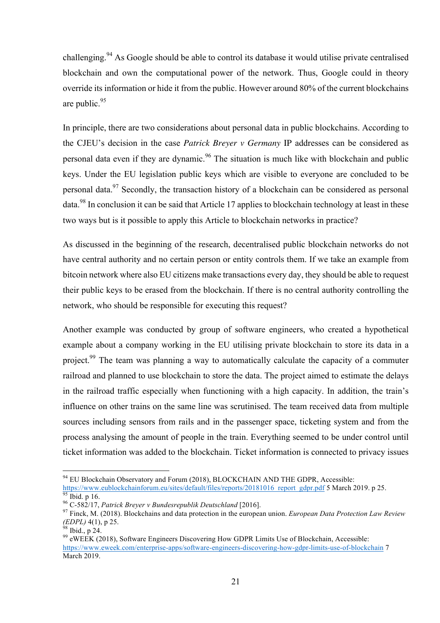challenging.<sup>94</sup> As Google should be able to control its database it would utilise private centralised blockchain and own the computational power of the network. Thus, Google could in theory override its information or hide it from the public. However around 80% of the current blockchains are public. 95

In principle, there are two considerations about personal data in public blockchains. According to the CJEU's decision in the case *Patrick Breyer v Germany* IP addresses can be considered as personal data even if they are dynamic.<sup>96</sup> The situation is much like with blockchain and public keys. Under the EU legislation public keys which are visible to everyone are concluded to be personal data.<sup>97</sup> Secondly, the transaction history of a blockchain can be considered as personal data.<sup>98</sup> In conclusion it can be said that Article 17 applies to blockchain technology at least in these two ways but is it possible to apply this Article to blockchain networks in practice?

As discussed in the beginning of the research, decentralised public blockchain networks do not have central authority and no certain person or entity controls them. If we take an example from bitcoin network where also EU citizens make transactions every day, they should be able to request their public keys to be erased from the blockchain. If there is no central authority controlling the network, who should be responsible for executing this request?

Another example was conducted by group of software engineers, who created a hypothetical example about a company working in the EU utilising private blockchain to store its data in a project.<sup>99</sup> The team was planning a way to automatically calculate the capacity of a commuter railroad and planned to use blockchain to store the data. The project aimed to estimate the delays in the railroad traffic especially when functioning with a high capacity. In addition, the train's influence on other trains on the same line was scrutinised. The team received data from multiple sources including sensors from rails and in the passenger space, ticketing system and from the process analysing the amount of people in the train. Everything seemed to be under control until ticket information was added to the blockchain. Ticket information is connected to privacy issues

<sup>&</sup>lt;sup>94</sup> EU Blockchain Observatory and Forum (2018), BLOCKCHAIN AND THE GDPR, Accessible: https://www.eublockchainforum.eu/sites/default/files/reports/20181016 report gdpr.pdf 5 March 2019. p 25.<br><sup>96</sup> C-582/17, *Patrick Breyer v Bundesrepublik Deutschland* [2016].<br><sup>96</sup> C-582/17, *Patrick Breyer v Bundesrepublik* 

*<sup>(</sup>EDPL)* 4(1), p 25.<br><sup>98</sup> Ibid., p 24.<br><sup>99</sup> eWEEK (2018), Software Engineers Discovering How GDPR Limits Use of Blockchain, Accessible:

https://www.eweek.com/enterprise-apps/software-engineers-discovering-how-gdpr-limits-use-of-blockchain 7 March 2019.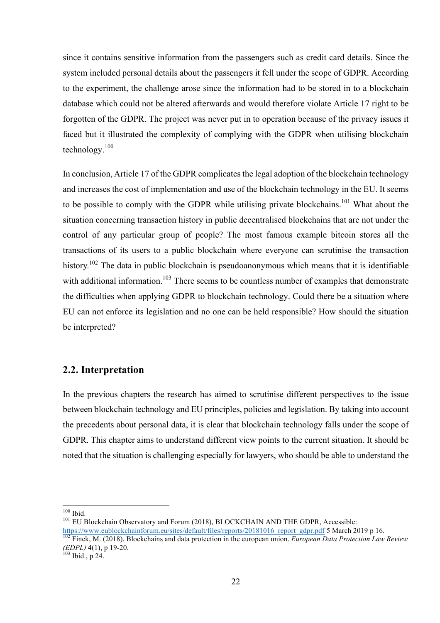since it contains sensitive information from the passengers such as credit card details. Since the system included personal details about the passengers it fell under the scope of GDPR. According to the experiment, the challenge arose since the information had to be stored in to a blockchain database which could not be altered afterwards and would therefore violate Article 17 right to be forgotten of the GDPR. The project was never put in to operation because of the privacy issues it faced but it illustrated the complexity of complying with the GDPR when utilising blockchain technology. 100

In conclusion, Article 17 of the GDPR complicates the legal adoption of the blockchain technology and increases the cost of implementation and use of the blockchain technology in the EU. It seems to be possible to comply with the GDPR while utilising private blockchains.<sup>101</sup> What about the situation concerning transaction history in public decentralised blockchains that are not under the control of any particular group of people? The most famous example bitcoin stores all the transactions of its users to a public blockchain where everyone can scrutinise the transaction history.<sup>102</sup> The data in public blockchain is pseudoanonymous which means that it is identifiable with additional information.<sup>103</sup> There seems to be countless number of examples that demonstrate the difficulties when applying GDPR to blockchain technology. Could there be a situation where EU can not enforce its legislation and no one can be held responsible? How should the situation be interpreted?

### **2.2. Interpretation**

In the previous chapters the research has aimed to scrutinise different perspectives to the issue between blockchain technology and EU principles, policies and legislation. By taking into account the precedents about personal data, it is clear that blockchain technology falls under the scope of GDPR. This chapter aims to understand different view points to the current situation. It should be noted that the situation is challenging especially for lawyers, who should be able to understand the

 $100$  Ibid.<br> $101$  EU Blockchain Observatory and Forum (2018), BLOCKCHAIN AND THE GDPR, Accessible:

https://www.eublockchainforum.eu/sites/default/files/reports/20181016 report gdpr.pdf 5 March 2019 p 16.<br><sup>102</sup> Finck, M. (2018). Blockchains and data protection in the european union. *European Data Protection Law Review* 

*<sup>(</sup>EDPL)* 4(1), p 19-20.<br><sup>103</sup> Ibid., p 24.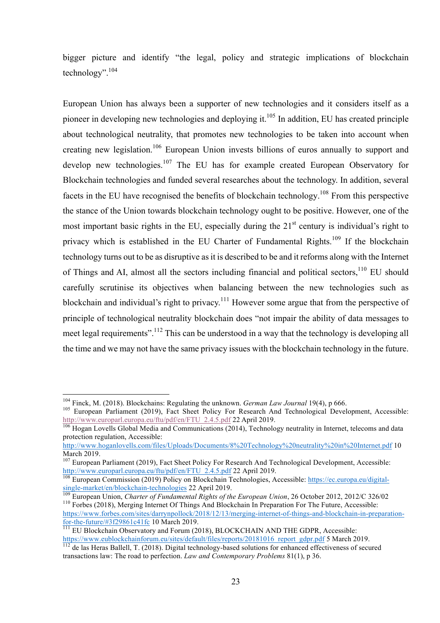bigger picture and identify "the legal, policy and strategic implications of blockchain technology".<sup>104</sup>

European Union has always been a supporter of new technologies and it considers itself as a pioneer in developing new technologies and deploying it.<sup>105</sup> In addition, EU has created principle about technological neutrality, that promotes new technologies to be taken into account when creating new legislation.<sup>106</sup> European Union invests billions of euros annually to support and develop new technologies.<sup>107</sup> The EU has for example created European Observatory for Blockchain technologies and funded several researches about the technology. In addition, several facets in the EU have recognised the benefits of blockchain technology.<sup>108</sup> From this perspective the stance of the Union towards blockchain technology ought to be positive. However, one of the most important basic rights in the EU, especially during the  $21<sup>st</sup>$  century is individual's right to privacy which is established in the EU Charter of Fundamental Rights.<sup>109</sup> If the blockchain technology turns out to be as disruptive as it is described to be and it reforms along with the Internet of Things and AI, almost all the sectors including financial and political sectors.<sup>110</sup> EU should carefully scrutinise its objectives when balancing between the new technologies such as blockchain and individual's right to privacy.<sup>111</sup> However some argue that from the perspective of principle of technological neutrality blockchain does "not impair the ability of data messages to meet legal requirements".<sup>112</sup> This can be understood in a way that the technology is developing all the time and we may not have the same privacy issues with the blockchain technology in the future.

<sup>&</sup>lt;sup>104</sup> Finck, M. (2018). Blockchains: Regulating the unknown. *German Law Journal* 19(4), p 666.<br><sup>105</sup> European Parliament (2019), Fact Sheet Policy For Research And Technological Development, Accessible: http://www.europarl.europa.eu/ftu/pdf/en/FTU\_2.4.5.pdf 22 April 2019.<br><sup>106</sup> Hogan Lovells Global Media and Communications (2014), Technology neutrality in Internet, telecoms and data

protection regulation, Accessible:

http://www.hoganlovells.com/files/Uploads/Documents/8%20Technology%20neutrality%20in%20Internet.pdf 10 March 2019.

<sup>&</sup>lt;sup>107</sup> European Parliament (2019), Fact Sheet Policy For Research And Technological Development, Accessible: http://www.europarl.europa.eu/ftu/pdf/en/FTU\_2.4.5.pdf 22 April 2019.<br><sup>108</sup> European Commission (2019) Policy on Blockchain Technologies, Accessible: https://ec.europa.eu/digital-

single-market/en/blockchain-technologies 22 April 2019.<br>
<sup>109</sup> European Union, *Charter of Fundamental Rights of the European Union*, 26 October 2012, 2012/C 326/02<br>
<sup>110</sup> Forbes (2018). Merging Internet Of Things And Bloc

https://www.forbes.com/sites/darrynpollock/2018/12/13/merging-internet-of-things-and-blockchain-in-preparation-

 $\frac{1}{111}$  EU Blockchain Observatory and Forum (2018), BLOCKCHAIN AND THE GDPR, Accessible:<br>https://www.eublockchainforum.eu/sites/default/files/reports/20181016 report\_gdpr.pdf 5 March 2019.

 $\frac{1}{12}$  de las Heras Ballell, T. (2018). Digital technology-based solutions for enhanced effectiveness of secured transactions law: The road to perfection. *Law and Contemporary Problems* 81(1), p 36.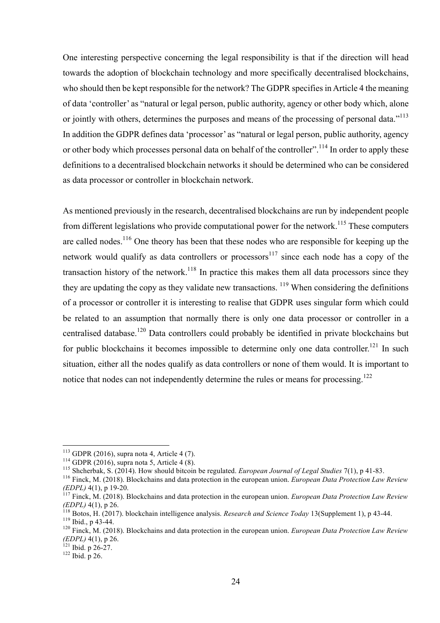One interesting perspective concerning the legal responsibility is that if the direction will head towards the adoption of blockchain technology and more specifically decentralised blockchains, who should then be kept responsible for the network? The GDPR specifies in Article 4 the meaning of data 'controller' as "natural or legal person, public authority, agency or other body which, alone or jointly with others, determines the purposes and means of the processing of personal data."<sup>113</sup> In addition the GDPR defines data 'processor' as "natural or legal person, public authority, agency or other body which processes personal data on behalf of the controller".<sup>114</sup> In order to apply these definitions to a decentralised blockchain networks it should be determined who can be considered as data processor or controller in blockchain network.

As mentioned previously in the research, decentralised blockchains are run by independent people from different legislations who provide computational power for the network.<sup>115</sup> These computers are called nodes.<sup>116</sup> One theory has been that these nodes who are responsible for keeping up the network would qualify as data controllers or processors<sup>117</sup> since each node has a copy of the transaction history of the network.<sup>118</sup> In practice this makes them all data processors since they they are updating the copy as they validate new transactions.  $119$  When considering the definitions of a processor or controller it is interesting to realise that GDPR uses singular form which could be related to an assumption that normally there is only one data processor or controller in a centralised database.<sup>120</sup> Data controllers could probably be identified in private blockchains but for public blockchains it becomes impossible to determine only one data controller.<sup>121</sup> In such situation, either all the nodes qualify as data controllers or none of them would. It is important to notice that nodes can not independently determine the rules or means for processing.<sup>122</sup>

<sup>&</sup>lt;sup>113</sup> GDPR (2016), supra nota 4, Article 4 (7).<br><sup>114</sup> GDPR (2016), supra nota 5, Article 4 (8).<br><sup>115</sup> Shcherbak, S. (2014). How should bitcoin be regulated. *European Journal of Legal Studies* 7(1), p 41-83.<br><sup>116</sup> Finck, *(EDPL)* 4(1), p 19-20. <sup>117</sup> Finck, M. (2018). Blockchains and data protection in the european union. *European Data Protection Law Review* 

<sup>(</sup>EDPL) 4(1), p 26.<br><sup>118</sup> Botos, H. (2017). blockchain intelligence analysis. *Research and Science Today* 13(Supplement 1), p 43-44.<br><sup>119</sup> Ibid., p 43-44.<br><sup>120</sup> Finck, M. (2018). Blockchains and data protection in the euro

*<sup>(</sup>EDPL)* 4(1), p 26.<br><sup>121</sup> Ibid. p 26-27.<br><sup>122</sup> Ibid. p 26.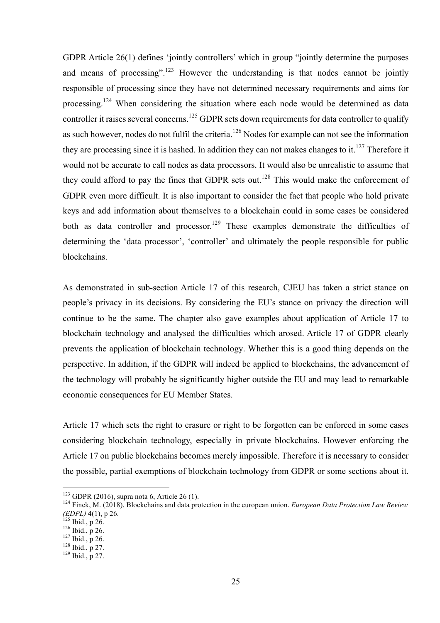GDPR Article 26(1) defines 'jointly controllers' which in group "jointly determine the purposes and means of processing".<sup>123</sup> However the understanding is that nodes cannot be jointly responsible of processing since they have not determined necessary requirements and aims for processing.<sup>124</sup> When considering the situation where each node would be determined as data controller it raises several concerns.<sup>125</sup> GDPR sets down requirements for data controller to qualify as such however, nodes do not fulfil the criteria.<sup>126</sup> Nodes for example can not see the information they are processing since it is hashed. In addition they can not makes changes to it.<sup>127</sup> Therefore it would not be accurate to call nodes as data processors. It would also be unrealistic to assume that they could afford to pay the fines that GDPR sets out.<sup>128</sup> This would make the enforcement of GDPR even more difficult. It is also important to consider the fact that people who hold private keys and add information about themselves to a blockchain could in some cases be considered both as data controller and processor.<sup>129</sup> These examples demonstrate the difficulties of determining the 'data processor', 'controller' and ultimately the people responsible for public blockchains.

As demonstrated in sub-section Article 17 of this research, CJEU has taken a strict stance on people's privacy in its decisions. By considering the EU's stance on privacy the direction will continue to be the same. The chapter also gave examples about application of Article 17 to blockchain technology and analysed the difficulties which arosed. Article 17 of GDPR clearly prevents the application of blockchain technology. Whether this is a good thing depends on the perspective. In addition, if the GDPR will indeed be applied to blockchains, the advancement of the technology will probably be significantly higher outside the EU and may lead to remarkable economic consequences for EU Member States.

Article 17 which sets the right to erasure or right to be forgotten can be enforced in some cases considering blockchain technology, especially in private blockchains. However enforcing the Article 17 on public blockchains becomes merely impossible. Therefore it is necessary to consider the possible, partial exemptions of blockchain technology from GDPR or some sections about it.

<sup>&</sup>lt;sup>123</sup> GDPR (2016), supra nota 6, Article 26 (1).<br><sup>124</sup> Finck, M. (2018). Blockchains and data protection in the european union. *European Data Protection Law Review (EDPL)* 4(1), p 26.<br><sup>125</sup> Ibid., p 26.<br><sup>126</sup> Ibid., p 26.<br><sup>128</sup> Ibid., p 27.<br><sup>129</sup> Ibid., p 27.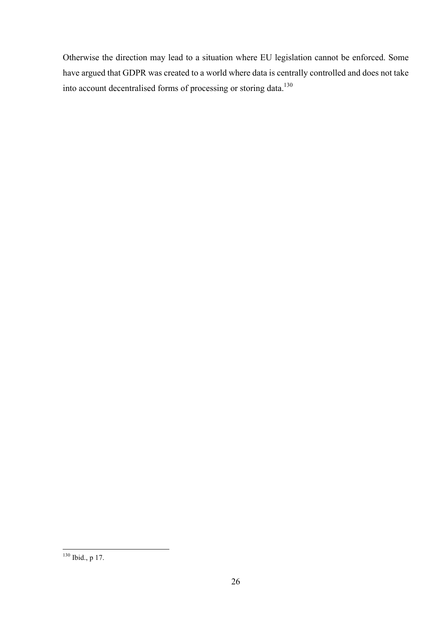Otherwise the direction may lead to a situation where EU legislation cannot be enforced. Some have argued that GDPR was created to a world where data is centrally controlled and does not take into account decentralised forms of processing or storing data.<sup>130</sup>

 <sup>130</sup> Ibid., <sup>p</sup> 17.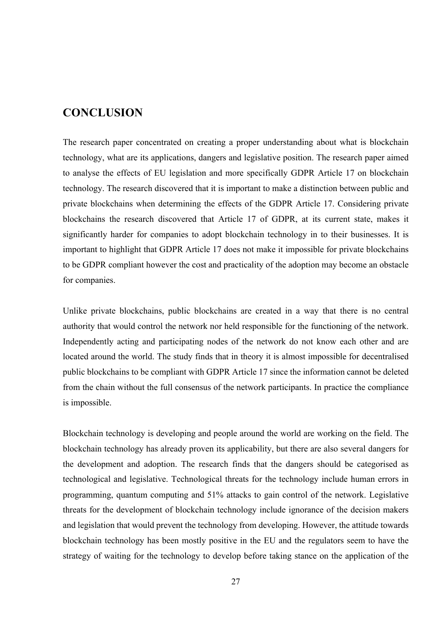### **CONCLUSION**

The research paper concentrated on creating a proper understanding about what is blockchain technology, what are its applications, dangers and legislative position. The research paper aimed to analyse the effects of EU legislation and more specifically GDPR Article 17 on blockchain technology. The research discovered that it is important to make a distinction between public and private blockchains when determining the effects of the GDPR Article 17. Considering private blockchains the research discovered that Article 17 of GDPR, at its current state, makes it significantly harder for companies to adopt blockchain technology in to their businesses. It is important to highlight that GDPR Article 17 does not make it impossible for private blockchains to be GDPR compliant however the cost and practicality of the adoption may become an obstacle for companies.

Unlike private blockchains, public blockchains are created in a way that there is no central authority that would control the network nor held responsible for the functioning of the network. Independently acting and participating nodes of the network do not know each other and are located around the world. The study finds that in theory it is almost impossible for decentralised public blockchains to be compliant with GDPR Article 17 since the information cannot be deleted from the chain without the full consensus of the network participants. In practice the compliance is impossible.

Blockchain technology is developing and people around the world are working on the field. The blockchain technology has already proven its applicability, but there are also several dangers for the development and adoption. The research finds that the dangers should be categorised as technological and legislative. Technological threats for the technology include human errors in programming, quantum computing and 51% attacks to gain control of the network. Legislative threats for the development of blockchain technology include ignorance of the decision makers and legislation that would prevent the technology from developing. However, the attitude towards blockchain technology has been mostly positive in the EU and the regulators seem to have the strategy of waiting for the technology to develop before taking stance on the application of the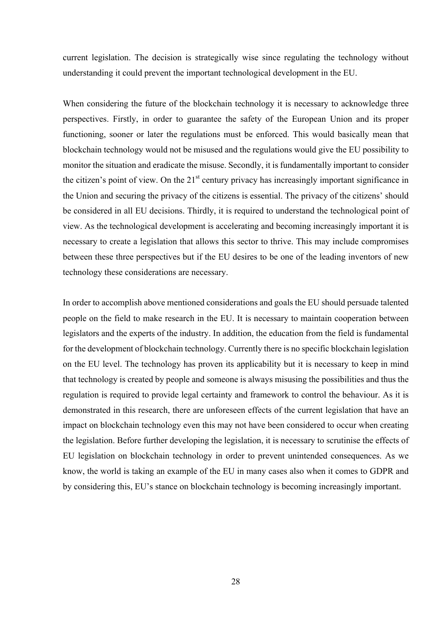current legislation. The decision is strategically wise since regulating the technology without understanding it could prevent the important technological development in the EU.

When considering the future of the blockchain technology it is necessary to acknowledge three perspectives. Firstly, in order to guarantee the safety of the European Union and its proper functioning, sooner or later the regulations must be enforced. This would basically mean that blockchain technology would not be misused and the regulations would give the EU possibility to monitor the situation and eradicate the misuse. Secondly, it is fundamentally important to consider the citizen's point of view. On the  $21<sup>st</sup>$  century privacy has increasingly important significance in the Union and securing the privacy of the citizens is essential. The privacy of the citizens' should be considered in all EU decisions. Thirdly, it is required to understand the technological point of view. As the technological development is accelerating and becoming increasingly important it is necessary to create a legislation that allows this sector to thrive. This may include compromises between these three perspectives but if the EU desires to be one of the leading inventors of new technology these considerations are necessary.

In order to accomplish above mentioned considerations and goals the EU should persuade talented people on the field to make research in the EU. It is necessary to maintain cooperation between legislators and the experts of the industry. In addition, the education from the field is fundamental for the development of blockchain technology. Currently there is no specific blockchain legislation on the EU level. The technology has proven its applicability but it is necessary to keep in mind that technology is created by people and someone is always misusing the possibilities and thus the regulation is required to provide legal certainty and framework to control the behaviour. As it is demonstrated in this research, there are unforeseen effects of the current legislation that have an impact on blockchain technology even this may not have been considered to occur when creating the legislation. Before further developing the legislation, it is necessary to scrutinise the effects of EU legislation on blockchain technology in order to prevent unintended consequences. As we know, the world is taking an example of the EU in many cases also when it comes to GDPR and by considering this, EU's stance on blockchain technology is becoming increasingly important.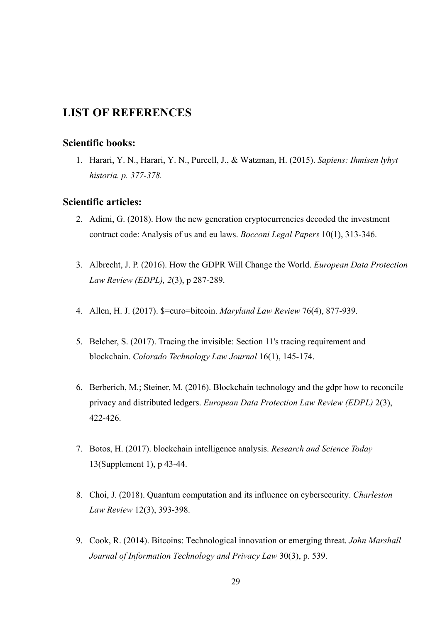## **LIST OF REFERENCES**

### **Scientific books:**

1. Harari, Y. N., Harari, Y. N., Purcell, J., & Watzman, H. (2015). *Sapiens: Ihmisen lyhyt historia. p. 377-378.*

#### **Scientific articles:**

- 2. Adimi, G. (2018). How the new generation cryptocurrencies decoded the investment contract code: Analysis of us and eu laws. *Bocconi Legal Papers* 10(1), 313-346.
- 3. Albrecht, J. P. (2016). How the GDPR Will Change the World. *European Data Protection Law Review (EDPL), 2*(3), p 287-289.
- 4. Allen, H. J. (2017). \$=euro=bitcoin. *Maryland Law Review* 76(4), 877-939.
- 5. Belcher, S. (2017). Tracing the invisible: Section 11's tracing requirement and blockchain. *Colorado Technology Law Journal* 16(1), 145-174.
- 6. Berberich, M.; Steiner, M. (2016). Blockchain technology and the gdpr how to reconcile privacy and distributed ledgers. *European Data Protection Law Review (EDPL)* 2(3), 422-426.
- 7. Botos, H. (2017). blockchain intelligence analysis. *Research and Science Today* 13(Supplement 1), p 43-44.
- 8. Choi, J. (2018). Quantum computation and its influence on cybersecurity. *Charleston Law Review* 12(3), 393-398.
- 9. Cook, R. (2014). Bitcoins: Technological innovation or emerging threat. *John Marshall Journal of Information Technology and Privacy Law* 30(3), p. 539.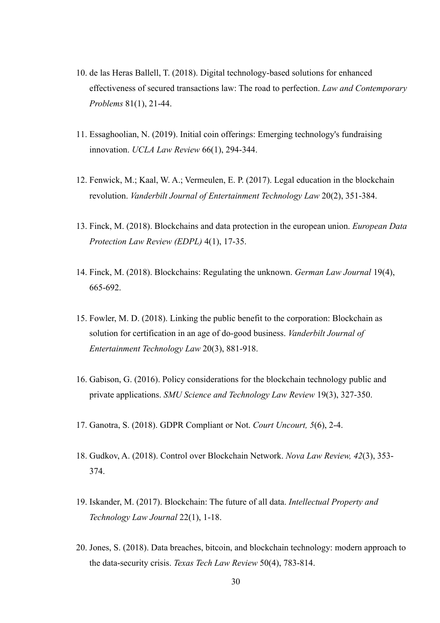- 10. de las Heras Ballell, T. (2018). Digital technology-based solutions for enhanced effectiveness of secured transactions law: The road to perfection. *Law and Contemporary Problems* 81(1), 21-44.
- 11. Essaghoolian, N. (2019). Initial coin offerings: Emerging technology's fundraising innovation. *UCLA Law Review* 66(1), 294-344.
- 12. Fenwick, M.; Kaal, W. A.; Vermeulen, E. P. (2017). Legal education in the blockchain revolution. *Vanderbilt Journal of Entertainment Technology Law* 20(2), 351-384.
- 13. Finck, M. (2018). Blockchains and data protection in the european union. *European Data Protection Law Review (EDPL)* 4(1), 17-35.
- 14. Finck, M. (2018). Blockchains: Regulating the unknown. *German Law Journal* 19(4), 665-692.
- 15. Fowler, M. D. (2018). Linking the public benefit to the corporation: Blockchain as solution for certification in an age of do-good business. *Vanderbilt Journal of Entertainment Technology Law* 20(3), 881-918.
- 16. Gabison, G. (2016). Policy considerations for the blockchain technology public and private applications. *SMU Science and Technology Law Review* 19(3), 327-350.
- 17. Ganotra, S. (2018). GDPR Compliant or Not. *Court Uncourt, 5*(6), 2-4.
- 18. Gudkov, A. (2018). Control over Blockchain Network. *Nova Law Review, 42*(3), 353- 374.
- 19. Iskander, M. (2017). Blockchain: The future of all data. *Intellectual Property and Technology Law Journal* 22(1), 1-18.
- 20. Jones, S. (2018). Data breaches, bitcoin, and blockchain technology: modern approach to the data-security crisis. *Texas Tech Law Review* 50(4), 783-814.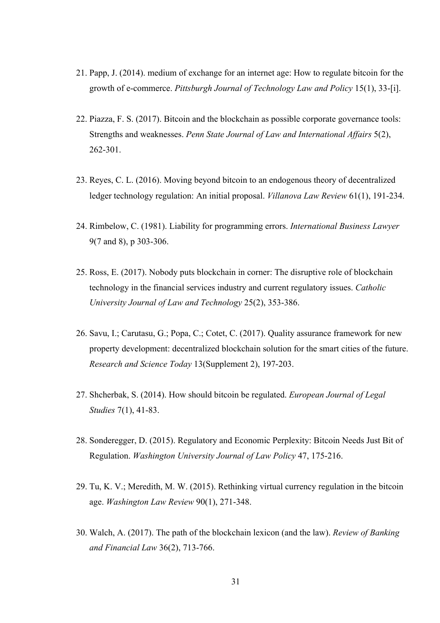- 21. Papp, J. (2014). medium of exchange for an internet age: How to regulate bitcoin for the growth of e-commerce. *Pittsburgh Journal of Technology Law and Policy* 15(1), 33-[i].
- 22. Piazza, F. S. (2017). Bitcoin and the blockchain as possible corporate governance tools: Strengths and weaknesses. *Penn State Journal of Law and International Affairs* 5(2), 262-301.
- 23. Reyes, C. L. (2016). Moving beyond bitcoin to an endogenous theory of decentralized ledger technology regulation: An initial proposal. *Villanova Law Review* 61(1), 191-234.
- 24. Rimbelow, C. (1981). Liability for programming errors. *International Business Lawyer* 9(7 and 8), p 303-306.
- 25. Ross, E. (2017). Nobody puts blockchain in corner: The disruptive role of blockchain technology in the financial services industry and current regulatory issues. *Catholic University Journal of Law and Technology* 25(2), 353-386.
- 26. Savu, I.; Carutasu, G.; Popa, C.; Cotet, C. (2017). Quality assurance framework for new property development: decentralized blockchain solution for the smart cities of the future. *Research and Science Today* 13(Supplement 2), 197-203.
- 27. Shcherbak, S. (2014). How should bitcoin be regulated. *European Journal of Legal Studies* 7(1), 41-83.
- 28. Sonderegger, D. (2015). Regulatory and Economic Perplexity: Bitcoin Needs Just Bit of Regulation. *Washington University Journal of Law Policy* 47, 175-216.
- 29. Tu, K. V.; Meredith, M. W. (2015). Rethinking virtual currency regulation in the bitcoin age. *Washington Law Review* 90(1), 271-348.
- 30. Walch, A. (2017). The path of the blockchain lexicon (and the law). *Review of Banking and Financial Law* 36(2), 713-766.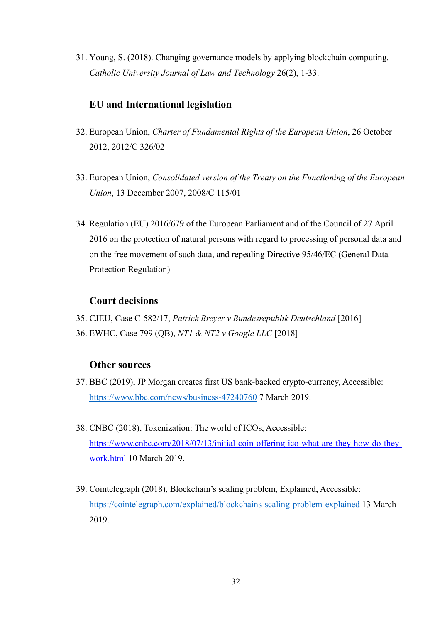31. Young, S. (2018). Changing governance models by applying blockchain computing. *Catholic University Journal of Law and Technology* 26(2), 1-33.

### **EU and International legislation**

- 32. European Union, *Charter of Fundamental Rights of the European Union*, 26 October 2012, 2012/C 326/02
- 33. European Union, *Consolidated version of the Treaty on the Functioning of the European Union*, 13 December 2007, 2008/C 115/01
- 34. Regulation (EU) 2016/679 of the European Parliament and of the Council of 27 April 2016 on the protection of natural persons with regard to processing of personal data and on the free movement of such data, and repealing Directive 95/46/EC (General Data Protection Regulation)

### **Court decisions**

- 35. CJEU, Case C-582/17, *Patrick Breyer v Bundesrepublik Deutschland* [2016]
- 36. EWHC, Case 799 (QB), *NT1 & NT2 v Google LLC* [2018]

### **Other sources**

- 37. BBC (2019), JP Morgan creates first US bank-backed crypto-currency, Accessible: https://www.bbc.com/news/business-47240760 7 March 2019.
- 38. CNBC (2018), Tokenization: The world of ICOs, Accessible: https://www.cnbc.com/2018/07/13/initial-coin-offering-ico-what-are-they-how-do-theywork.html 10 March 2019.
- 39. Cointelegraph (2018), Blockchain's scaling problem, Explained, Accessible: https://cointelegraph.com/explained/blockchains-scaling-problem-explained 13 March 2019.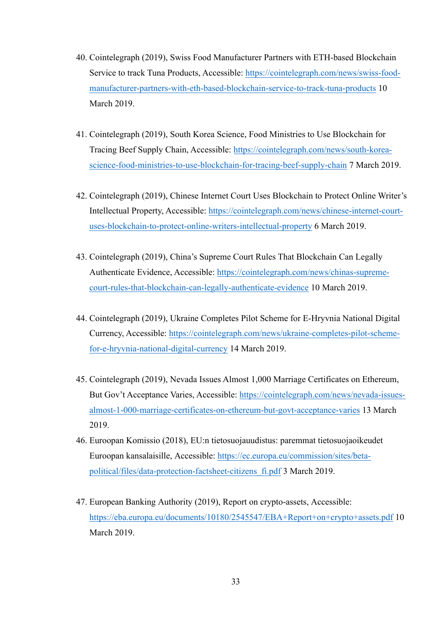- 40. Cointelegraph (2019), Swiss Food Manufacturer Partners with ETH-based Blockchain Service to track Tuna Products, Accessible: https://cointelegraph.com/news/swiss-foodmanufacturer-partners-with-eth-based-blockchain-service-to-track-tuna-products 10 March 2019.
- 41. Cointelegraph (2019), South Korea Science, Food Ministries to Use Blockchain for Tracing Beef Supply Chain, Accessible: https://cointelegraph.com/news/south-koreascience-food-ministries-to-use-blockchain-for-tracing-beef-supply-chain 7 March 2019.
- 42. Cointelegraph (2019), Chinese Internet Court Uses Blockchain to Protect Online Writer's Intellectual Property, Accessible: https://cointelegraph.com/news/chinese-internet-courtuses-blockchain-to-protect-online-writers-intellectual-property 6 March 2019.
- 43. Cointelegraph (2019), China's Supreme Court Rules That Blockchain Can Legally Authenticate Evidence, Accessible: https://cointelegraph.com/news/chinas-supremecourt-rules-that-blockchain-can-legally-authenticate-evidence 10 March 2019.
- 44. Cointelegraph (2019), Ukraine Completes Pilot Scheme for E-Hryvnia National Digital Currency, Accessible: https://cointelegraph.com/news/ukraine-completes-pilot-schemefor-e-hryvnia-national-digital-currency 14 March 2019.
- 45. Cointelegraph (2019), Nevada Issues Almost 1,000 Marriage Certificates on Ethereum, But Gov't Acceptance Varies, Accessible: https://cointelegraph.com/news/nevada-issuesalmost-1-000-marriage-certificates-on-ethereum-but-govt-acceptance-varies 13 March 2019.
- 46. Euroopan Komissio (2018), EU:n tietosuojauudistus: paremmat tietosuojaoikeudet Euroopan kansalaisille, Accessible: https://ec.europa.eu/commission/sites/betapolitical/files/data-protection-factsheet-citizens\_fi.pdf 3 March 2019.
- 47. European Banking Authority (2019), Report on crypto-assets, Accessible: https://eba.europa.eu/documents/10180/2545547/EBA+Report+on+crypto+assets.pdf 10 March 2019.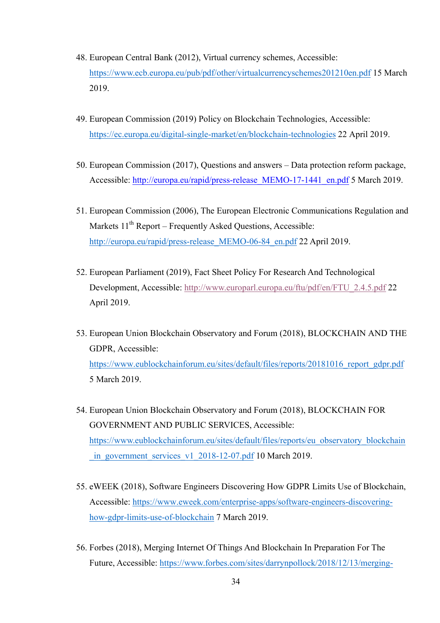- 48. European Central Bank (2012), Virtual currency schemes, Accessible: https://www.ecb.europa.eu/pub/pdf/other/virtualcurrencyschemes201210en.pdf 15 March 2019.
- 49. European Commission (2019) Policy on Blockchain Technologies, Accessible: https://ec.europa.eu/digital-single-market/en/blockchain-technologies 22 April 2019.
- 50. European Commission (2017), Questions and answers Data protection reform package, Accessible: http://europa.eu/rapid/press-release\_MEMO-17-1441\_en.pdf 5 March 2019.
- 51. European Commission (2006), The European Electronic Communications Regulation and Markets  $11<sup>th</sup>$  Report – Frequently Asked Ouestions, Accessible: http://europa.eu/rapid/press-release\_MEMO-06-84\_en.pdf 22 April 2019.
- 52. European Parliament (2019), Fact Sheet Policy For Research And Technological Development, Accessible: http://www.europarl.europa.eu/ftu/pdf/en/FTU\_2.4.5.pdf 22 April 2019.
- 53. European Union Blockchain Observatory and Forum (2018), BLOCKCHAIN AND THE GDPR, Accessible: https://www.eublockchainforum.eu/sites/default/files/reports/20181016\_report\_gdpr.pdf 5 March 2019.
- 54. European Union Blockchain Observatory and Forum (2018), BLOCKCHAIN FOR GOVERNMENT AND PUBLIC SERVICES, Accessible: https://www.eublockchainforum.eu/sites/default/files/reports/eu\_observatory\_blockchain in\_government\_services\_v1\_2018-12-07.pdf 10 March 2019.
- 55. eWEEK (2018), Software Engineers Discovering How GDPR Limits Use of Blockchain, Accessible: https://www.eweek.com/enterprise-apps/software-engineers-discoveringhow-gdpr-limits-use-of-blockchain 7 March 2019.
- 56. Forbes (2018), Merging Internet Of Things And Blockchain In Preparation For The Future, Accessible: https://www.forbes.com/sites/darrynpollock/2018/12/13/merging-